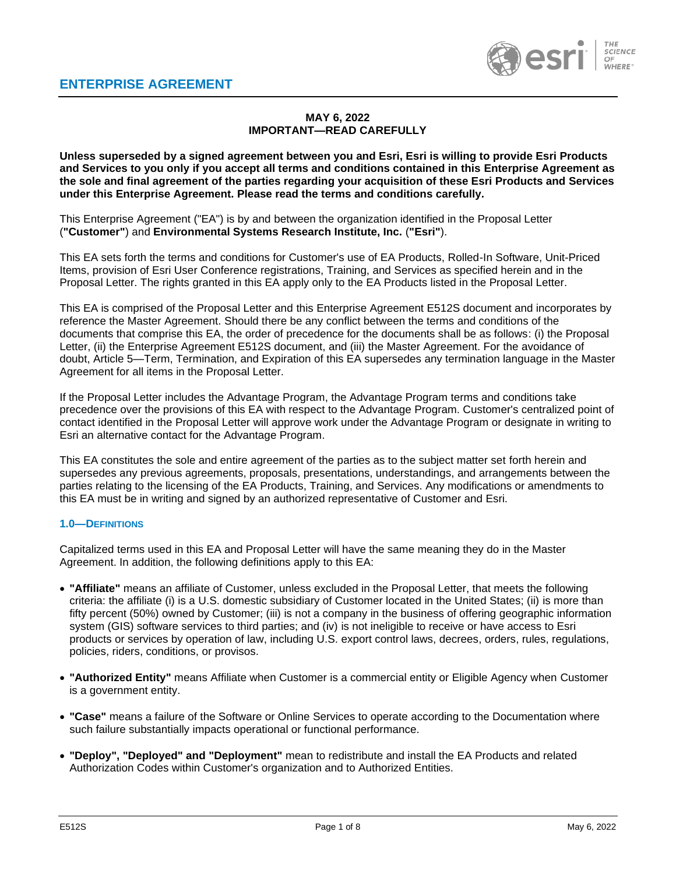

# **MAY 6, 2022 IMPORTANT—READ CAREFULLY**

**Unless superseded by a signed agreement between you and Esri, Esri is willing to provide Esri Products and Services to you only if you accept all terms and conditions contained in this Enterprise Agreement as the sole and final agreement of the parties regarding your acquisition of these Esri Products and Services under this Enterprise Agreement. Please read the terms and conditions carefully.**

This Enterprise Agreement ("EA") is by and between the organization identified in the Proposal Letter (**"Customer"**) and **Environmental Systems Research Institute, Inc.** (**"Esri"**).

This EA sets forth the terms and conditions for Customer's use of EA Products, Rolled-In Software, Unit-Priced Items, provision of Esri User Conference registrations, Training, and Services as specified herein and in the Proposal Letter. The rights granted in this EA apply only to the EA Products listed in the Proposal Letter.

This EA is comprised of the Proposal Letter and this Enterprise Agreement E512S document and incorporates by reference the Master Agreement. Should there be any conflict between the terms and conditions of the documents that comprise this EA, the order of precedence for the documents shall be as follows: (i) the Proposal Letter, (ii) the Enterprise Agreement E512S document, and (iii) the Master Agreement. For the avoidance of doubt, Article 5—Term, Termination, and Expiration of this EA supersedes any termination language in the Master Agreement for all items in the Proposal Letter.

If the Proposal Letter includes the Advantage Program, the Advantage Program terms and conditions take precedence over the provisions of this EA with respect to the Advantage Program. Customer's centralized point of contact identified in the Proposal Letter will approve work under the Advantage Program or designate in writing to Esri an alternative contact for the Advantage Program.

This EA constitutes the sole and entire agreement of the parties as to the subject matter set forth herein and supersedes any previous agreements, proposals, presentations, understandings, and arrangements between the parties relating to the licensing of the EA Products, Training, and Services. Any modifications or amendments to this EA must be in writing and signed by an authorized representative of Customer and Esri.

#### **1.0—DEFINITIONS**

Capitalized terms used in this EA and Proposal Letter will have the same meaning they do in the Master Agreement. In addition, the following definitions apply to this EA:

- **"Affiliate"** means an affiliate of Customer, unless excluded in the Proposal Letter, that meets the following criteria: the affiliate (i) is a U.S. domestic subsidiary of Customer located in the United States; (ii) is more than fifty percent (50%) owned by Customer; (iii) is not a company in the business of offering geographic information system (GIS) software services to third parties; and (iv) is not ineligible to receive or have access to Esri products or services by operation of law, including U.S. export control laws, decrees, orders, rules, regulations, policies, riders, conditions, or provisos.
- **"Authorized Entity"** means Affiliate when Customer is a commercial entity or Eligible Agency when Customer is a government entity.
- **"Case"** means a failure of the Software or Online Services to operate according to the Documentation where such failure substantially impacts operational or functional performance.
- **"Deploy", "Deployed" and "Deployment"** mean to redistribute and install the EA Products and related Authorization Codes within Customer's organization and to Authorized Entities.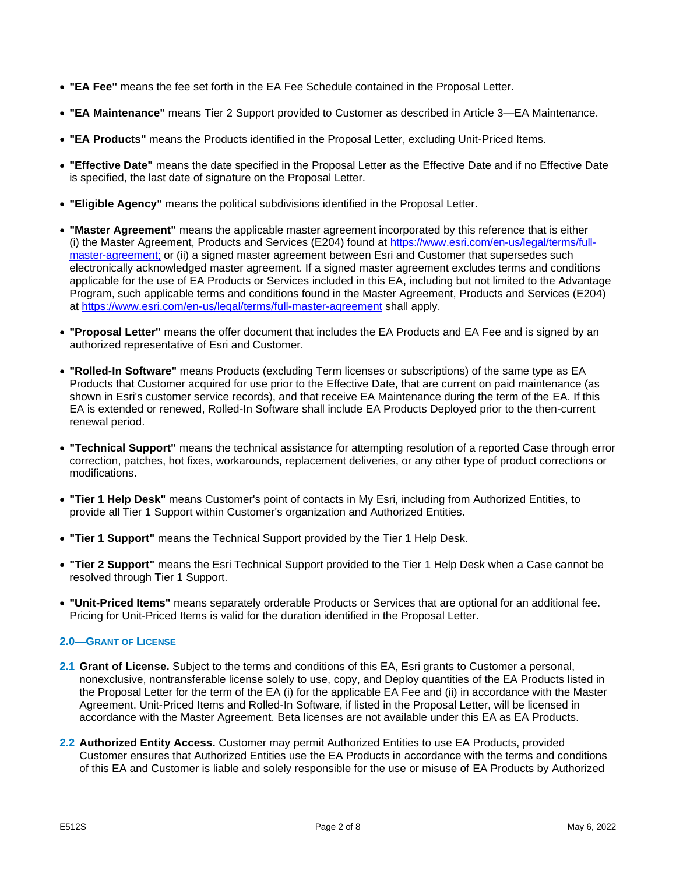- **"EA Fee"** means the fee set forth in the EA Fee Schedule contained in the Proposal Letter.
- **"EA Maintenance"** means Tier 2 Support provided to Customer as described in Article 3—EA Maintenance.
- **"EA Products"** means the Products identified in the Proposal Letter, excluding Unit-Priced Items.
- **"Effective Date"** means the date specified in the Proposal Letter as the Effective Date and if no Effective Date is specified, the last date of signature on the Proposal Letter.
- **"Eligible Agency"** means the political subdivisions identified in the Proposal Letter.
- **"Master Agreement"** means the applicable master agreement incorporated by this reference that is either (i) the Master Agreement, Products and Services (E204) found at [https://www.esri.com/en-us/legal/terms/full](https://www.esri.com/en-us/legal/terms/full-master-agreement)[master-agreement;](https://www.esri.com/en-us/legal/terms/full-master-agreement) or (ii) a signed master agreement between Esri and Customer that supersedes such electronically acknowledged master agreement. If a signed master agreement excludes terms and conditions applicable for the use of EA Products or Services included in this EA, including but not limited to the Advantage Program, such applicable terms and conditions found in the Master Agreement, Products and Services (E204) at<https://www.esri.com/en-us/legal/terms/full-master-agreement> shall apply.
- **"Proposal Letter"** means the offer document that includes the EA Products and EA Fee and is signed by an authorized representative of Esri and Customer.
- **"Rolled-In Software"** means Products (excluding Term licenses or subscriptions) of the same type as EA Products that Customer acquired for use prior to the Effective Date, that are current on paid maintenance (as shown in Esri's customer service records), and that receive EA Maintenance during the term of the EA. If this EA is extended or renewed, Rolled-In Software shall include EA Products Deployed prior to the then-current renewal period.
- **"Technical Support"** means the technical assistance for attempting resolution of a reported Case through error correction, patches, hot fixes, workarounds, replacement deliveries, or any other type of product corrections or modifications.
- **"Tier 1 Help Desk"** means Customer's point of contacts in My Esri, including from Authorized Entities, to provide all Tier 1 Support within Customer's organization and Authorized Entities.
- **"Tier 1 Support"** means the Technical Support provided by the Tier 1 Help Desk.
- **"Tier 2 Support"** means the Esri Technical Support provided to the Tier 1 Help Desk when a Case cannot be resolved through Tier 1 Support.
- **"Unit-Priced Items"** means separately orderable Products or Services that are optional for an additional fee. Pricing for Unit-Priced Items is valid for the duration identified in the Proposal Letter.

# **2.0—GRANT OF LICENSE**

- **2.1 Grant of License.** Subject to the terms and conditions of this EA, Esri grants to Customer a personal, nonexclusive, nontransferable license solely to use, copy, and Deploy quantities of the EA Products listed in the Proposal Letter for the term of the EA (i) for the applicable EA Fee and (ii) in accordance with the Master Agreement. Unit-Priced Items and Rolled-In Software, if listed in the Proposal Letter, will be licensed in accordance with the Master Agreement. Beta licenses are not available under this EA as EA Products.
- **2.2 Authorized Entity Access.** Customer may permit Authorized Entities to use EA Products, provided Customer ensures that Authorized Entities use the EA Products in accordance with the terms and conditions of this EA and Customer is liable and solely responsible for the use or misuse of EA Products by Authorized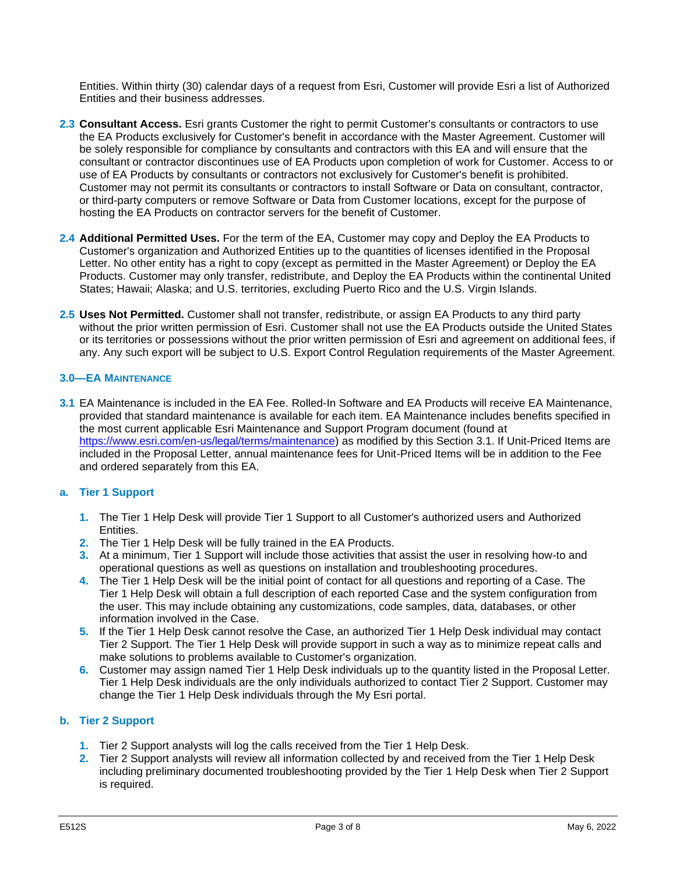Entities. Within thirty (30) calendar days of a request from Esri, Customer will provide Esri a list of Authorized Entities and their business addresses.

- **2.3 Consultant Access.** Esri grants Customer the right to permit Customer's consultants or contractors to use the EA Products exclusively for Customer's benefit in accordance with the Master Agreement. Customer will be solely responsible for compliance by consultants and contractors with this EA and will ensure that the consultant or contractor discontinues use of EA Products upon completion of work for Customer. Access to or use of EA Products by consultants or contractors not exclusively for Customer's benefit is prohibited. Customer may not permit its consultants or contractors to install Software or Data on consultant, contractor, or third-party computers or remove Software or Data from Customer locations, except for the purpose of hosting the EA Products on contractor servers for the benefit of Customer.
- **2.4 Additional Permitted Uses.** For the term of the EA, Customer may copy and Deploy the EA Products to Customer's organization and Authorized Entities up to the quantities of licenses identified in the Proposal Letter. No other entity has a right to copy (except as permitted in the Master Agreement) or Deploy the EA Products. Customer may only transfer, redistribute, and Deploy the EA Products within the continental United States; Hawaii; Alaska; and U.S. territories, excluding Puerto Rico and the U.S. Virgin Islands.
- **2.5 Uses Not Permitted.** Customer shall not transfer, redistribute, or assign EA Products to any third party without the prior written permission of Esri. Customer shall not use the EA Products outside the United States or its territories or possessions without the prior written permission of Esri and agreement on additional fees, if any. Any such export will be subject to U.S. Export Control Regulation requirements of the Master Agreement.

# **3.0—EA MAINTENANCE**

**3.1** EA Maintenance is included in the EA Fee. Rolled-In Software and EA Products will receive EA Maintenance, provided that standard maintenance is available for each item. EA Maintenance includes benefits specified in the most current applicable Esri Maintenance and Support Program document (found at [https://www.esri.com/en-us/legal/terms/maintenance\)](https://www.esri.com/en-us/legal/terms/maintenance) as modified by this Section 3.1. If Unit-Priced Items are included in the Proposal Letter, annual maintenance fees for Unit-Priced Items will be in addition to the Fee and ordered separately from this EA.

# **a. Tier 1 Support**

- **1.** The Tier 1 Help Desk will provide Tier 1 Support to all Customer's authorized users and Authorized Entities.
- **2.** The Tier 1 Help Desk will be fully trained in the EA Products.
- **3.** At a minimum, Tier 1 Support will include those activities that assist the user in resolving how-to and operational questions as well as questions on installation and troubleshooting procedures.
- **4.** The Tier 1 Help Desk will be the initial point of contact for all questions and reporting of a Case. The Tier 1 Help Desk will obtain a full description of each reported Case and the system configuration from the user. This may include obtaining any customizations, code samples, data, databases, or other information involved in the Case.
- **5.** If the Tier 1 Help Desk cannot resolve the Case, an authorized Tier 1 Help Desk individual may contact Tier 2 Support. The Tier 1 Help Desk will provide support in such a way as to minimize repeat calls and make solutions to problems available to Customer's organization.
- **6.** Customer may assign named Tier 1 Help Desk individuals up to the quantity listed in the Proposal Letter. Tier 1 Help Desk individuals are the only individuals authorized to contact Tier 2 Support. Customer may change the Tier 1 Help Desk individuals through the My Esri portal.

# **b. Tier 2 Support**

- **1.** Tier 2 Support analysts will log the calls received from the Tier 1 Help Desk.
- **2.** Tier 2 Support analysts will review all information collected by and received from the Tier 1 Help Desk including preliminary documented troubleshooting provided by the Tier 1 Help Desk when Tier 2 Support is required.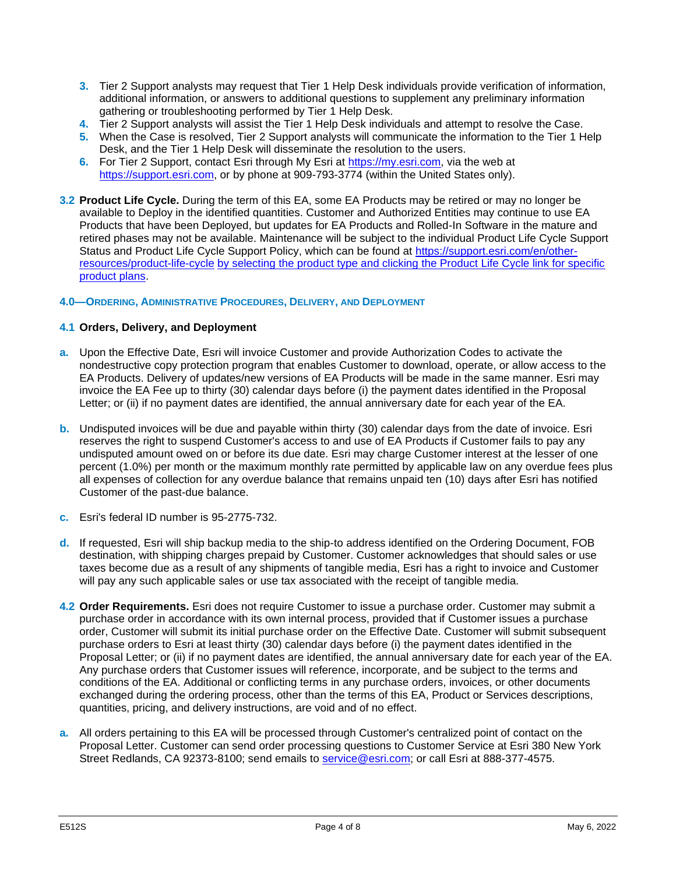- **3.** Tier 2 Support analysts may request that Tier 1 Help Desk individuals provide verification of information, additional information, or answers to additional questions to supplement any preliminary information gathering or troubleshooting performed by Tier 1 Help Desk.
- **4.** Tier 2 Support analysts will assist the Tier 1 Help Desk individuals and attempt to resolve the Case.
- **5.** When the Case is resolved, Tier 2 Support analysts will communicate the information to the Tier 1 Help Desk, and the Tier 1 Help Desk will disseminate the resolution to the users.
- **6.** For Tier 2 Support, contact Esri through My Esri at [https://my.esri.com,](https://my.esri.com/) via the web at [https://support.esri.com,](https://support.esri.com/) or by phone at 909-793-3774 (within the United States only).
- **3.2 Product Life Cycle.** During the term of this EA, some EA Products may be retired or may no longer be available to Deploy in the identified quantities. Customer and Authorized Entities may continue to use EA Products that have been Deployed, but updates for EA Products and Rolled-In Software in the mature and retired phases may not be available. Maintenance will be subject to the individual Product Life Cycle Support Status and Product Life Cycle Support Policy, which can be found at [https://support.esri.com/en/other](https://support.esri.com/en/other-resources/product-life-cycle)[resources/product-life-cycle](https://support.esri.com/en/other-resources/product-life-cycle) by selecting the product type and clicking the Product Life Cycle link for specific product plans.

# **4.0—ORDERING, ADMINISTRATIVE PROCEDURES, DELIVERY, AND DEPLOYMENT**

### **4.1 Orders, Delivery, and Deployment**

- **a.** Upon the Effective Date, Esri will invoice Customer and provide Authorization Codes to activate the nondestructive copy protection program that enables Customer to download, operate, or allow access to the EA Products. Delivery of updates/new versions of EA Products will be made in the same manner. Esri may invoice the EA Fee up to thirty (30) calendar days before (i) the payment dates identified in the Proposal Letter; or (ii) if no payment dates are identified, the annual anniversary date for each year of the EA.
- **b.** Undisputed invoices will be due and payable within thirty (30) calendar days from the date of invoice. Esri reserves the right to suspend Customer's access to and use of EA Products if Customer fails to pay any undisputed amount owed on or before its due date. Esri may charge Customer interest at the lesser of one percent (1.0%) per month or the maximum monthly rate permitted by applicable law on any overdue fees plus all expenses of collection for any overdue balance that remains unpaid ten (10) days after Esri has notified Customer of the past-due balance.
- **c.** Esri's federal ID number is 95-2775-732.
- **d.** If requested, Esri will ship backup media to the ship-to address identified on the Ordering Document, FOB destination, with shipping charges prepaid by Customer. Customer acknowledges that should sales or use taxes become due as a result of any shipments of tangible media, Esri has a right to invoice and Customer will pay any such applicable sales or use tax associated with the receipt of tangible media.
- **4.2 Order Requirements.** Esri does not require Customer to issue a purchase order. Customer may submit a purchase order in accordance with its own internal process, provided that if Customer issues a purchase order, Customer will submit its initial purchase order on the Effective Date. Customer will submit subsequent purchase orders to Esri at least thirty (30) calendar days before (i) the payment dates identified in the Proposal Letter; or (ii) if no payment dates are identified, the annual anniversary date for each year of the EA. Any purchase orders that Customer issues will reference, incorporate, and be subject to the terms and conditions of the EA. Additional or conflicting terms in any purchase orders, invoices, or other documents exchanged during the ordering process, other than the terms of this EA, Product or Services descriptions, quantities, pricing, and delivery instructions, are void and of no effect.
- **a.** All orders pertaining to this EA will be processed through Customer's centralized point of contact on the Proposal Letter. Customer can send order processing questions to Customer Service at Esri 380 New York Street Redlands, CA 92373-8100; send emails to [service@esri.com;](mailto:service@esri.com) or call Esri at 888-377-4575.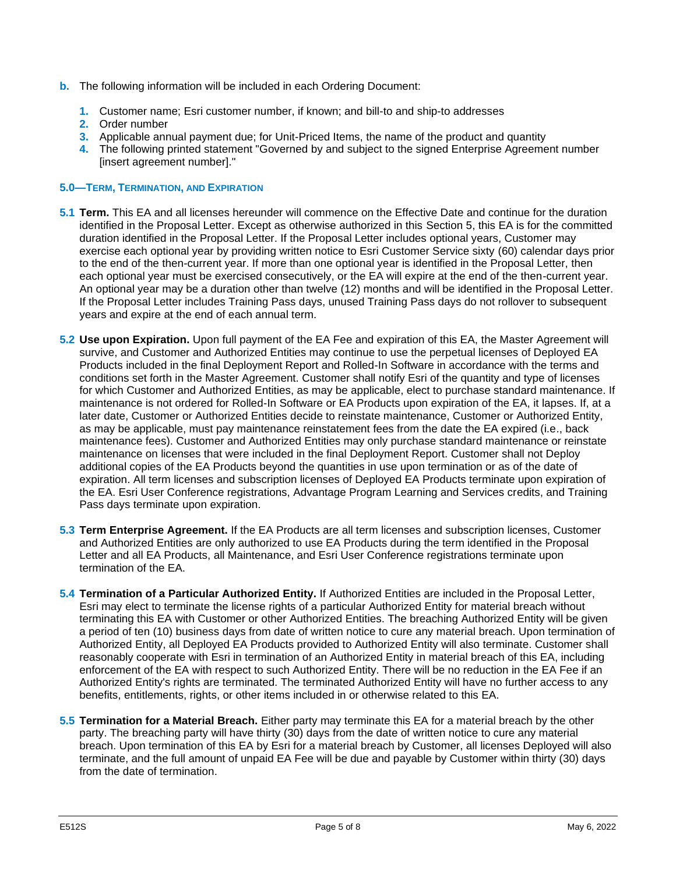- **b.** The following information will be included in each Ordering Document:
	- **1.** Customer name; Esri customer number, if known; and bill-to and ship-to addresses
	- **2.** Order number
	- **3.** Applicable annual payment due; for Unit-Priced Items, the name of the product and quantity
	- **4.** The following printed statement "Governed by and subject to the signed Enterprise Agreement number [insert agreement number]."

### **5.0—TERM, TERMINATION, AND EXPIRATION**

- **5.1 Term.** This EA and all licenses hereunder will commence on the Effective Date and continue for the duration identified in the Proposal Letter. Except as otherwise authorized in this Section 5, this EA is for the committed duration identified in the Proposal Letter. If the Proposal Letter includes optional years, Customer may exercise each optional year by providing written notice to Esri Customer Service sixty (60) calendar days prior to the end of the then-current year. If more than one optional year is identified in the Proposal Letter, then each optional year must be exercised consecutively, or the EA will expire at the end of the then-current year. An optional year may be a duration other than twelve (12) months and will be identified in the Proposal Letter. If the Proposal Letter includes Training Pass days, unused Training Pass days do not rollover to subsequent years and expire at the end of each annual term.
- **5.2 Use upon Expiration.** Upon full payment of the EA Fee and expiration of this EA, the Master Agreement will survive, and Customer and Authorized Entities may continue to use the perpetual licenses of Deployed EA Products included in the final Deployment Report and Rolled-In Software in accordance with the terms and conditions set forth in the Master Agreement. Customer shall notify Esri of the quantity and type of licenses for which Customer and Authorized Entities, as may be applicable, elect to purchase standard maintenance. If maintenance is not ordered for Rolled-In Software or EA Products upon expiration of the EA, it lapses. If, at a later date, Customer or Authorized Entities decide to reinstate maintenance, Customer or Authorized Entity, as may be applicable, must pay maintenance reinstatement fees from the date the EA expired (i.e., back maintenance fees). Customer and Authorized Entities may only purchase standard maintenance or reinstate maintenance on licenses that were included in the final Deployment Report. Customer shall not Deploy additional copies of the EA Products beyond the quantities in use upon termination or as of the date of expiration. All term licenses and subscription licenses of Deployed EA Products terminate upon expiration of the EA. Esri User Conference registrations, Advantage Program Learning and Services credits, and Training Pass days terminate upon expiration.
- **5.3 Term Enterprise Agreement.** If the EA Products are all term licenses and subscription licenses, Customer and Authorized Entities are only authorized to use EA Products during the term identified in the Proposal Letter and all EA Products, all Maintenance, and Esri User Conference registrations terminate upon termination of the EA.
- **5.4 Termination of a Particular Authorized Entity.** If Authorized Entities are included in the Proposal Letter, Esri may elect to terminate the license rights of a particular Authorized Entity for material breach without terminating this EA with Customer or other Authorized Entities. The breaching Authorized Entity will be given a period of ten (10) business days from date of written notice to cure any material breach. Upon termination of Authorized Entity, all Deployed EA Products provided to Authorized Entity will also terminate. Customer shall reasonably cooperate with Esri in termination of an Authorized Entity in material breach of this EA, including enforcement of the EA with respect to such Authorized Entity. There will be no reduction in the EA Fee if an Authorized Entity's rights are terminated. The terminated Authorized Entity will have no further access to any benefits, entitlements, rights, or other items included in or otherwise related to this EA.
- **5.5 Termination for a Material Breach.** Either party may terminate this EA for a material breach by the other party. The breaching party will have thirty (30) days from the date of written notice to cure any material breach. Upon termination of this EA by Esri for a material breach by Customer, all licenses Deployed will also terminate, and the full amount of unpaid EA Fee will be due and payable by Customer within thirty (30) days from the date of termination.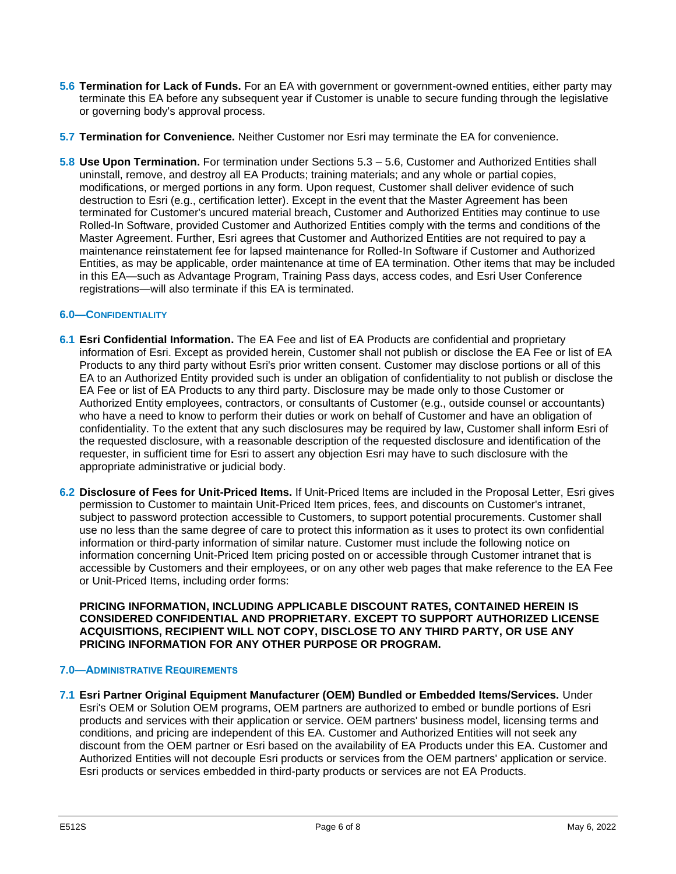- **5.6 Termination for Lack of Funds.** For an EA with government or government-owned entities, either party may terminate this EA before any subsequent year if Customer is unable to secure funding through the legislative or governing body's approval process.
- **5.7 Termination for Convenience.** Neither Customer nor Esri may terminate the EA for convenience.
- **5.8 Use Upon Termination.** For termination under Sections 5.3 5.6, Customer and Authorized Entities shall uninstall, remove, and destroy all EA Products; training materials; and any whole or partial copies, modifications, or merged portions in any form. Upon request, Customer shall deliver evidence of such destruction to Esri (e.g., certification letter). Except in the event that the Master Agreement has been terminated for Customer's uncured material breach, Customer and Authorized Entities may continue to use Rolled-In Software, provided Customer and Authorized Entities comply with the terms and conditions of the Master Agreement. Further, Esri agrees that Customer and Authorized Entities are not required to pay a maintenance reinstatement fee for lapsed maintenance for Rolled-In Software if Customer and Authorized Entities, as may be applicable, order maintenance at time of EA termination. Other items that may be included in this EA—such as Advantage Program, Training Pass days, access codes, and Esri User Conference registrations—will also terminate if this EA is terminated.

### **6.0—CONFIDENTIALITY**

- **6.1 Esri Confidential Information.** The EA Fee and list of EA Products are confidential and proprietary information of Esri. Except as provided herein, Customer shall not publish or disclose the EA Fee or list of EA Products to any third party without Esri's prior written consent. Customer may disclose portions or all of this EA to an Authorized Entity provided such is under an obligation of confidentiality to not publish or disclose the EA Fee or list of EA Products to any third party. Disclosure may be made only to those Customer or Authorized Entity employees, contractors, or consultants of Customer (e.g., outside counsel or accountants) who have a need to know to perform their duties or work on behalf of Customer and have an obligation of confidentiality. To the extent that any such disclosures may be required by law, Customer shall inform Esri of the requested disclosure, with a reasonable description of the requested disclosure and identification of the requester, in sufficient time for Esri to assert any objection Esri may have to such disclosure with the appropriate administrative or judicial body.
- **6.2 Disclosure of Fees for Unit-Priced Items.** If Unit-Priced Items are included in the Proposal Letter, Esri gives permission to Customer to maintain Unit-Priced Item prices, fees, and discounts on Customer's intranet, subject to password protection accessible to Customers, to support potential procurements. Customer shall use no less than the same degree of care to protect this information as it uses to protect its own confidential information or third-party information of similar nature. Customer must include the following notice on information concerning Unit-Priced Item pricing posted on or accessible through Customer intranet that is accessible by Customers and their employees, or on any other web pages that make reference to the EA Fee or Unit-Priced Items, including order forms:

**PRICING INFORMATION, INCLUDING APPLICABLE DISCOUNT RATES, CONTAINED HEREIN IS CONSIDERED CONFIDENTIAL AND PROPRIETARY. EXCEPT TO SUPPORT AUTHORIZED LICENSE ACQUISITIONS, RECIPIENT WILL NOT COPY, DISCLOSE TO ANY THIRD PARTY, OR USE ANY PRICING INFORMATION FOR ANY OTHER PURPOSE OR PROGRAM.**

#### **7.0—ADMINISTRATIVE REQUIREMENTS**

**7.1 Esri Partner Original Equipment Manufacturer (OEM) Bundled or Embedded Items/Services.** Under Esri's OEM or Solution OEM programs, OEM partners are authorized to embed or bundle portions of Esri products and services with their application or service. OEM partners' business model, licensing terms and conditions, and pricing are independent of this EA. Customer and Authorized Entities will not seek any discount from the OEM partner or Esri based on the availability of EA Products under this EA. Customer and Authorized Entities will not decouple Esri products or services from the OEM partners' application or service. Esri products or services embedded in third-party products or services are not EA Products.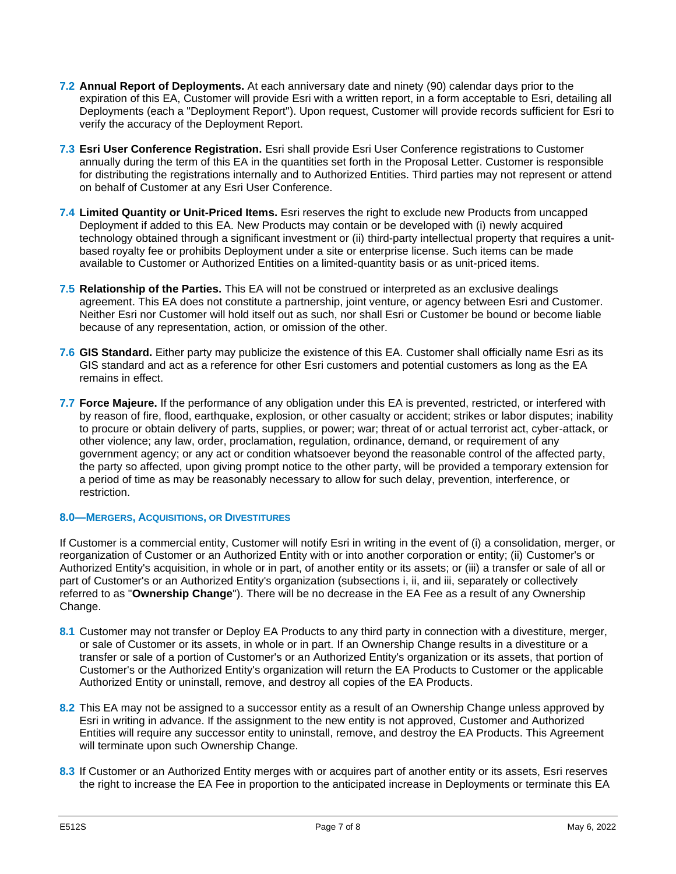- **7.2 Annual Report of Deployments.** At each anniversary date and ninety (90) calendar days prior to the expiration of this EA, Customer will provide Esri with a written report, in a form acceptable to Esri, detailing all Deployments (each a "Deployment Report"). Upon request, Customer will provide records sufficient for Esri to verify the accuracy of the Deployment Report.
- **7.3 Esri User Conference Registration.** Esri shall provide Esri User Conference registrations to Customer annually during the term of this EA in the quantities set forth in the Proposal Letter. Customer is responsible for distributing the registrations internally and to Authorized Entities. Third parties may not represent or attend on behalf of Customer at any Esri User Conference.
- **7.4 Limited Quantity or Unit-Priced Items.** Esri reserves the right to exclude new Products from uncapped Deployment if added to this EA. New Products may contain or be developed with (i) newly acquired technology obtained through a significant investment or (ii) third-party intellectual property that requires a unitbased royalty fee or prohibits Deployment under a site or enterprise license. Such items can be made available to Customer or Authorized Entities on a limited-quantity basis or as unit-priced items.
- **7.5 Relationship of the Parties.** This EA will not be construed or interpreted as an exclusive dealings agreement. This EA does not constitute a partnership, joint venture, or agency between Esri and Customer. Neither Esri nor Customer will hold itself out as such, nor shall Esri or Customer be bound or become liable because of any representation, action, or omission of the other.
- **7.6 GIS Standard.** Either party may publicize the existence of this EA. Customer shall officially name Esri as its GIS standard and act as a reference for other Esri customers and potential customers as long as the EA remains in effect.
- **7.7 Force Majeure.** If the performance of any obligation under this EA is prevented, restricted, or interfered with by reason of fire, flood, earthquake, explosion, or other casualty or accident; strikes or labor disputes; inability to procure or obtain delivery of parts, supplies, or power; war; threat of or actual terrorist act, cyber-attack, or other violence; any law, order, proclamation, regulation, ordinance, demand, or requirement of any government agency; or any act or condition whatsoever beyond the reasonable control of the affected party, the party so affected, upon giving prompt notice to the other party, will be provided a temporary extension for a period of time as may be reasonably necessary to allow for such delay, prevention, interference, or restriction.

# **8.0—MERGERS, ACQUISITIONS, OR DIVESTITURES**

If Customer is a commercial entity, Customer will notify Esri in writing in the event of (i) a consolidation, merger, or reorganization of Customer or an Authorized Entity with or into another corporation or entity; (ii) Customer's or Authorized Entity's acquisition, in whole or in part, of another entity or its assets; or (iii) a transfer or sale of all or part of Customer's or an Authorized Entity's organization (subsections i, ii, and iii, separately or collectively referred to as "**Ownership Change**"). There will be no decrease in the EA Fee as a result of any Ownership Change.

- **8.1** Customer may not transfer or Deploy EA Products to any third party in connection with a divestiture, merger, or sale of Customer or its assets, in whole or in part. If an Ownership Change results in a divestiture or a transfer or sale of a portion of Customer's or an Authorized Entity's organization or its assets, that portion of Customer's or the Authorized Entity's organization will return the EA Products to Customer or the applicable Authorized Entity or uninstall, remove, and destroy all copies of the EA Products.
- **8.2** This EA may not be assigned to a successor entity as a result of an Ownership Change unless approved by Esri in writing in advance. If the assignment to the new entity is not approved, Customer and Authorized Entities will require any successor entity to uninstall, remove, and destroy the EA Products. This Agreement will terminate upon such Ownership Change.
- **8.3** If Customer or an Authorized Entity merges with or acquires part of another entity or its assets, Esri reserves the right to increase the EA Fee in proportion to the anticipated increase in Deployments or terminate this EA